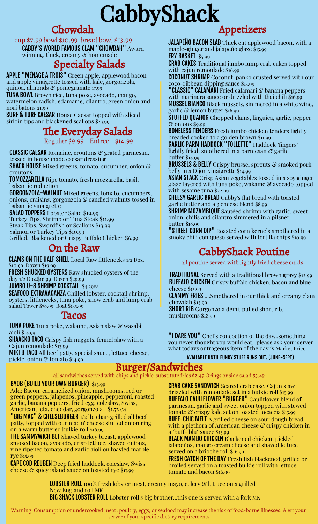# **CabbyShack**

### Chowdah

cup \$7.99 bowl \$10.99 bread bowl \$13.99

CABBY'S WORLD FAMOUS CLAM "CHOWDAH" Award winning, thick, creamy & homemade

### Specialty Salads

APPLE "MÉNAGE À TROIS" Green apple, applewood bacon and apple vinaigrette tossed with kale, gorgonzola, quinoa, almonds & pomegranate 17.99

TUNA BOWL Brown rice, tuna poke, avocado, mango, watermelon radish, edamame, cilantro, green onion and nori batons 21.99

**SURF & TURF CAESAR House Caesar topped with sliced** sirloin tips and blackened scallops \$23.99

### The Everyday Salads

Regular \$9.99 Entree \$14.99

**CLASSIC CAESAR** Romaine, croutons & grated parmesan, tossed in house made caesar dressing

SHACK HOUSE Mixed greens, tomato, cucumber, onion & croutons

TOMOZZARELLA Ripe tomato, fresh mozzarella, basil, balsamic reduction

GORGONZOLA-WALNUT Mixed greens, tomato, cucumbers, onions, craisins, gorgonzola & candied walnuts tossed in balsamic vinaigrette

SALAD TOPPERS Lobster Salad \$19.99 Turkey Tips, Shrimp or Tuna Steak \$11.99 Steak Tips, Swordfish or Scallops \$13.99 Salmon or Turkey Tips \$10.99 Grilled, Blackened or Crispy Buffalo Chicken \$6.99

### On the Raw

CLAMS ON THE HALF SHELL Local Raw littlenecks 1/2 Doz. \$10.99 Dozen \$19.99

FRESH SHUCKED OYSTERS Raw shucked oysters of the day 1/2 Doz.\$16.99 Dozen \$29.99

JUMBO U-8 SHRIMP COCKTAIL \$4.29ea

SEAFOOD EXTRAVAGANZA Chilled lobster, cocktail shrimp, oysters, littlenecks, tuna poke, snow crab and lump crab salad Tower \$78.99 Boat \$135.99

### Tacos

**TUNA POKE** Tuna poke, wakame, Asian slaw & wasabi aioli \$14.99 SHAACKO TACO Crispy fish nuggets, fennel slaw with a Cajun remoulade \$13.99

MIKI B TACO All beef patty, special sauce, lettuce cheese, pickle, onion & tomato \$14.99

#### BYOB (BUILD YOUR OWN BURGER) \$13.99

Add: Bacon, caramelized onion, mushrooms, red or green peppers, jalapenos, pineapple, pepperoni, roasted garlic, banana peppers, fried egg, coleslaw, Swiss, American, feta, cheddar, gorgonzola +\$1.75 ea

"BIG MAC" & CHEESEBURGER 1/2 lb. char-grilled all beef patty, topped with our mac n' cheese stuffed onion ring on a warm buttered bulkie roll \$16.99

**THE SAMMYWICH BLT** Shaved turkey breast, applewood smoked bacon, avocado, crisp lettuce, shaved onions, vine ripened tomato and garlic aioli on toasted marble rye \$15.99

CAPE COD REUBEN Deep fried haddock, coleslaw, Swiss cheese & spicy island sauce on toasted rye \$17.99

### Appetizers

JALAPEÑO BACON SLAB Thick cut applewood bacon, with a maple-ginger and jalapeño glaze \$15.99 FRY BASKET \$5.99

CRAB CAKES Traditional jumbo lump crab cakes topped with cajun remoulade \$16.99

COCONUT SHRIMP Coconut-panko crusted served with our coco-ribbean dipping sauce \$15.99

"CLASSIC" CALAMARI Fried calamari & banana peppers with marinara sauce or drizzled with thai chili \$16.99 MUSSEL BIANCO Black mussels, simmered in a white wine, garlic & lemon butter \$16.99

STUFFED QUAHOG Chopped clams, linguica, garlic, pepper & onions \$9.99

BONELESS TENDERS Fresh jumbo chicken tenders lightly breaded cooked to a golden brown \$11.99

GARLIC PARM HADDOCK "FOLLETTE" Haddock "fingers" lightly fried, smothered in a parmesan & garlic butter \$14.99

BRUSSELS & BELLY Crispy brussel sprouts & smoked pork belly in a Dijon vinaigrette \$14.99

**ASIAN STACK** Crisp Asian vegetables tossed in a soy ginger glaze layered with tuna poke, wakame & avocado topped with sesame tuna \$22.99

CHEESY GARLIC BREAD Cabby's flat bread with toasted garlic butter and a 3 cheese blend \$8.99

**SHRIMP MOZAMBIQUE** Sautéed shrimp with garlic, sweet onion, chilis and cilantro simmered in a pilsner butter \$18.99

"STREET CORN DIP" Roasted corn kernels smothered in a smoky chili con queso served with tortilla chips \$10.99

## CabbyShack Poutine

all poutine served with lightly fried cheese curds

**TRADITIONAL** Served with a traditional brown gravy \$12.99 **BUFFALO CHICKEN** Crispy buffalo chicken, bacon and blue cheese \$15.99

CLAMMY FRIES ....Smothered in our thick and creamy clam chowdah \$13.99

SHORT RIB Gorgonzola demi, pulled short rib, mushrooms \$18.99

"I DARE YOU" Chef's concoction of the day...something you never thought you would eat...please ask your server what todays outrageous item of the day is Market Price

#### AVAILABLE UNTIL FUNKY STUFF RUNS OUT. (JUNE-SEPT)

### Burger/Sandwiches

all sandwiches served with chips and pickle-substitute fries \$2.49 Orings or side salad \$3.49

CRAB CAKE SANDWICH Seared crab cake, Cajun slaw drizzled with remoulade set in a bulkie roll \$15.99 BUFFALO CAULIFLOWER "BURGER" Cauliflower blend of parmesan, garlic and sweet onion topped with stewed tomato & crispy kale set on toasted focaccia \$15.99 **BUFF-CHIC MELT** A grilled cheese on sour dough bread with a plethora of American cheese  $\mathcal C$  crispy chicken in a "buff- blu" sauce \$15.99

BLACK MAMBO CHICKEN Blackened chicken, pickled jalapeños, mango cream cheese and shaved lettuce served on a brioche roll \$16.99

FRESH CATCH OF THE DAY Fresh fish blackened, grilled or broiled served on a toasted bulkie roll with lettuce tomato and bacon \$16.99

**LOBSTER ROLL** 100% fresh lobster meat, creamy mayo, celery  $\mathcal{C}$  lettuce on a grilled New England roll MK

BIG SHACK LOBSTER ROLL Lobster roll's big brother...this one is served with a fork MK

Warning: Consumption of undercooked meat, poultry, eggs, or seafood may increase the risk of food-borne illnesses. Alert your server of your specific dietary requirements